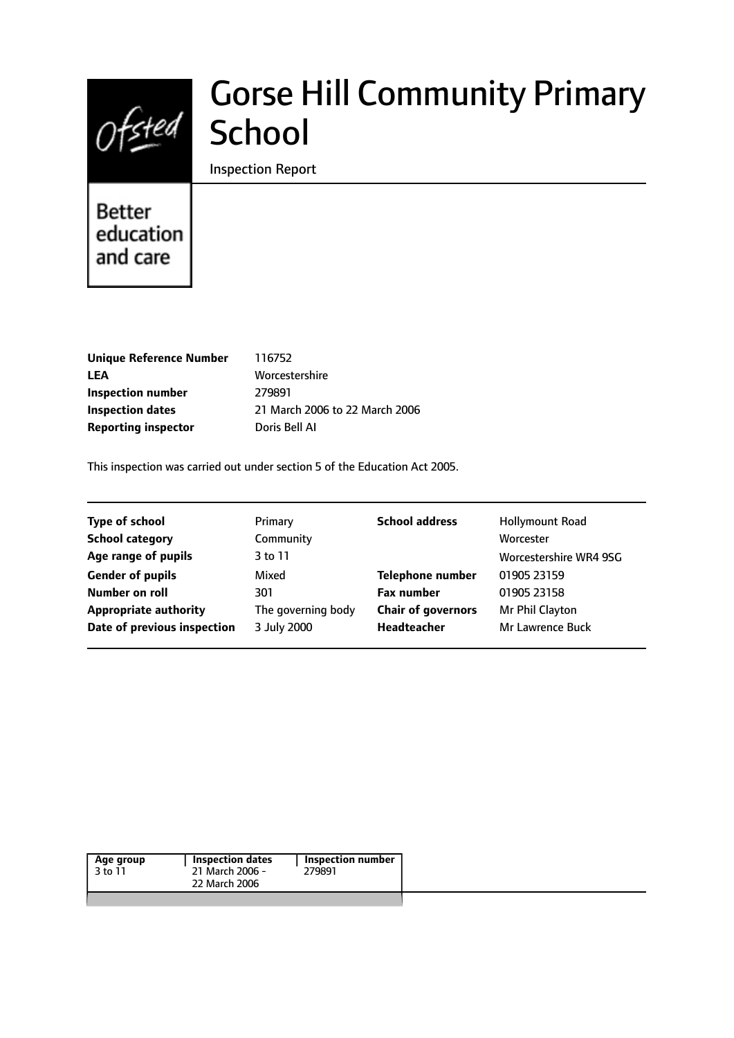

# Gorse Hill Community Primary School

Inspection Report

# Better education and care

| <b>Unique Reference Number</b> |   |
|--------------------------------|---|
| LEA                            | N |
| Inspection number              | 2 |
| <b>Inspection dates</b>        | 2 |
| <b>Reporting inspector</b>     | D |

**Unique Reference Number** 116752 **LEA** Worcestershire **Inspection number** 279891 **Inspection dates** 21 March 2006 to 22 March 2006 **Poris Bell AI** 

This inspection was carried out under section 5 of the Education Act 2005.

| <b>Type of school</b>        | Primary            | <b>School address</b>     | <b>Hollymount Road</b> |
|------------------------------|--------------------|---------------------------|------------------------|
| <b>School category</b>       | Community          |                           | Worcester              |
| Age range of pupils          | 3 to 11            |                           | Worcestershire WR4 9SG |
| <b>Gender of pupils</b>      | Mixed              | <b>Telephone number</b>   | 01905 23159            |
| Number on roll               | 301                | <b>Fax number</b>         | 01905 23158            |
| <b>Appropriate authority</b> | The governing body | <b>Chair of governors</b> | Mr Phil Clayton        |
| Date of previous inspection  | 3 July 2000        | Headteacher               | Mr Lawrence Buck       |

| Age group | Inspection dates | <b>Inspection number</b> |
|-----------|------------------|--------------------------|
| 3 to 11   | 21 March 2006 -  | 279891                   |
|           | 22 March 2006    |                          |
|           |                  |                          |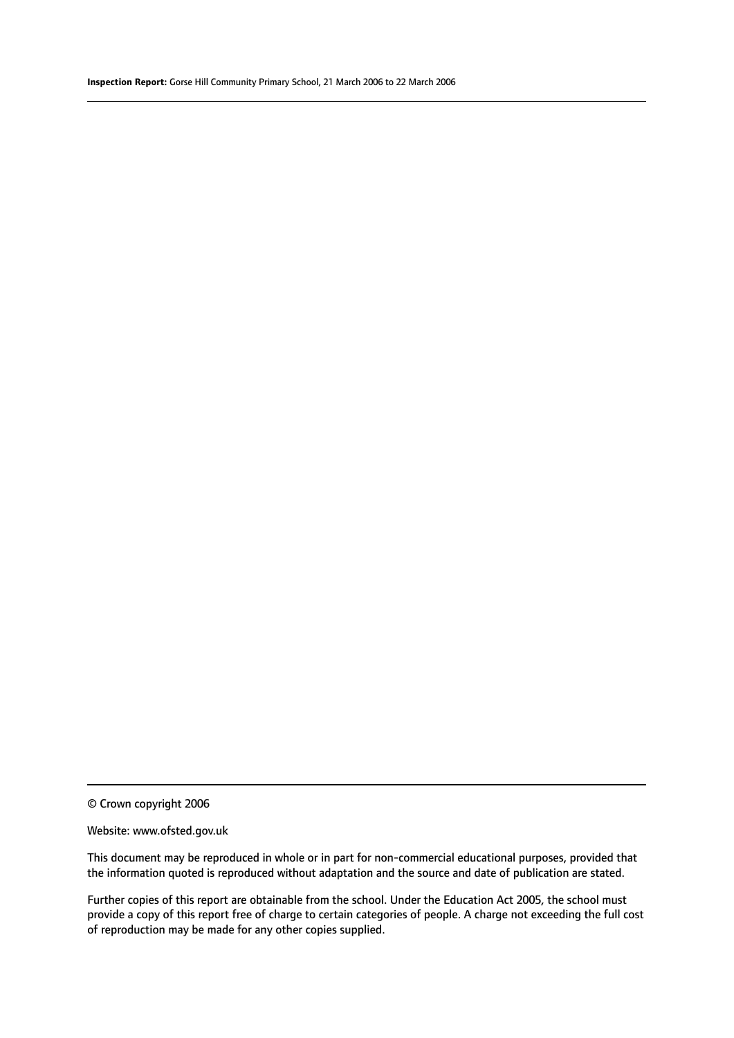#### Website: www.ofsted.gov.uk

This document may be reproduced in whole or in part for non-commercial educational purposes, provided that the information quoted is reproduced without adaptation and the source and date of publication are stated.

Further copies of this report are obtainable from the school. Under the Education Act 2005, the school must provide a copy of this report free of charge to certain categories of people. A charge not exceeding the full cost of reproduction may be made for any other copies supplied.

<sup>©</sup> Crown copyright 2006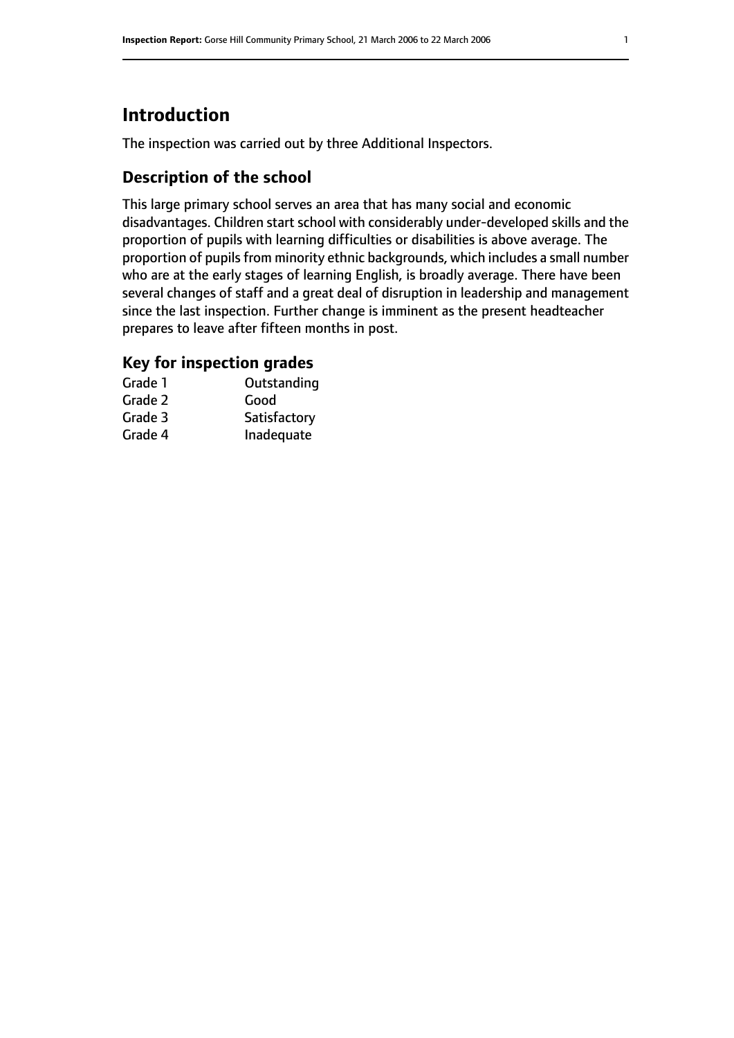# **Introduction**

The inspection was carried out by three Additional Inspectors.

# **Description of the school**

This large primary school serves an area that has many social and economic disadvantages. Children start school with considerably under-developed skills and the proportion of pupils with learning difficulties or disabilities is above average. The proportion of pupils from minority ethnic backgrounds, which includes a small number who are at the early stages of learning English, is broadly average. There have been several changes of staff and a great deal of disruption in leadership and management since the last inspection. Further change is imminent as the present headteacher prepares to leave after fifteen months in post.

### **Key for inspection grades**

| Grade 1 | Outstanding  |
|---------|--------------|
| Grade 2 | Good         |
| Grade 3 | Satisfactory |
| Grade 4 | Inadequate   |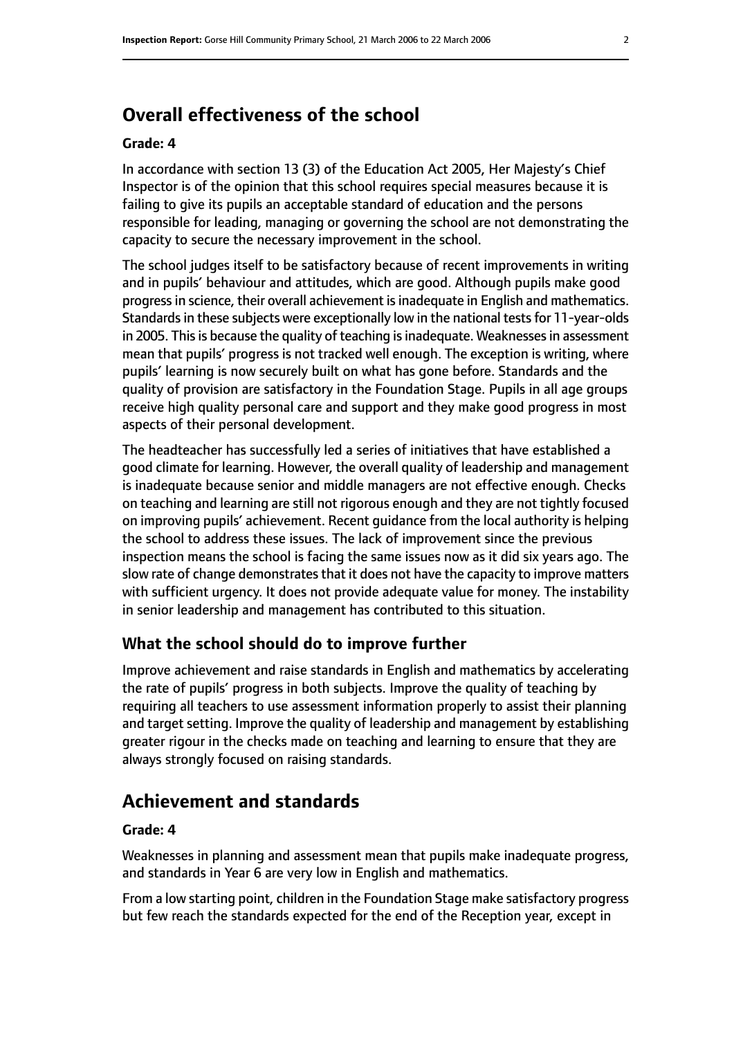# **Overall effectiveness of the school**

#### **Grade: 4**

In accordance with section 13 (3) of the Education Act 2005, Her Majesty's Chief Inspector is of the opinion that this school requires special measures because it is failing to give its pupils an acceptable standard of education and the persons responsible for leading, managing or governing the school are not demonstrating the capacity to secure the necessary improvement in the school.

The school judges itself to be satisfactory because of recent improvements in writing and in pupils' behaviour and attitudes, which are good. Although pupils make good progress in science, their overall achievement is inadequate in English and mathematics. Standards in these subjects were exceptionally low in the national tests for 11-year-olds in 2005. This is because the quality of teaching is inadequate. Weaknesses in assessment mean that pupils' progress is not tracked well enough. The exception is writing, where pupils' learning is now securely built on what has gone before. Standards and the quality of provision are satisfactory in the Foundation Stage. Pupils in all age groups receive high quality personal care and support and they make good progress in most aspects of their personal development.

The headteacher has successfully led a series of initiatives that have established a good climate for learning. However, the overall quality of leadership and management is inadequate because senior and middle managers are not effective enough. Checks on teaching and learning are still not rigorous enough and they are not tightly focused on improving pupils' achievement. Recent guidance from the local authority is helping the school to address these issues. The lack of improvement since the previous inspection means the school is facing the same issues now as it did six years ago. The slow rate of change demonstrates that it does not have the capacity to improve matters with sufficient urgency. It does not provide adequate value for money. The instability in senior leadership and management has contributed to this situation.

#### **What the school should do to improve further**

Improve achievement and raise standards in English and mathematics by accelerating the rate of pupils' progress in both subjects. Improve the quality of teaching by requiring all teachers to use assessment information properly to assist their planning and target setting. Improve the quality of leadership and management by establishing greater rigour in the checks made on teaching and learning to ensure that they are always strongly focused on raising standards.

# **Achievement and standards**

#### **Grade: 4**

Weaknesses in planning and assessment mean that pupils make inadequate progress, and standards in Year 6 are very low in English and mathematics.

From a low starting point, children in the Foundation Stage make satisfactory progress but few reach the standards expected for the end of the Reception year, except in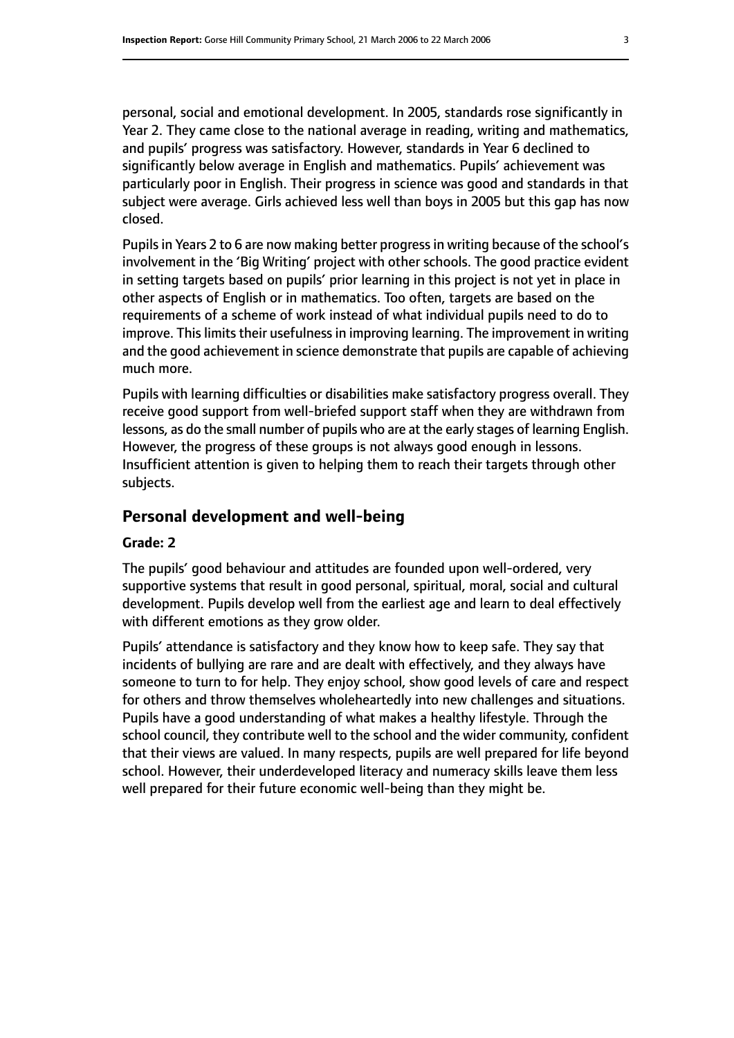personal, social and emotional development. In 2005, standards rose significantly in Year 2. They came close to the national average in reading, writing and mathematics, and pupils' progress was satisfactory. However, standards in Year 6 declined to significantly below average in English and mathematics. Pupils' achievement was particularly poor in English. Their progress in science was good and standards in that subject were average. Girls achieved less well than boys in 2005 but this gap has now closed.

Pupils in Years 2 to 6 are now making better progress in writing because of the school's involvement in the 'Big Writing' project with other schools. The good practice evident in setting targets based on pupils' prior learning in this project is not yet in place in other aspects of English or in mathematics. Too often, targets are based on the requirements of a scheme of work instead of what individual pupils need to do to improve. This limits their usefulness in improving learning. The improvement in writing and the good achievement in science demonstrate that pupils are capable of achieving much more.

Pupils with learning difficulties or disabilities make satisfactory progress overall. They receive good support from well-briefed support staff when they are withdrawn from lessons, as do the small number of pupils who are at the early stages of learning English. However, the progress of these groups is not always good enough in lessons. Insufficient attention is given to helping them to reach their targets through other subjects.

#### **Personal development and well-being**

#### **Grade: 2**

The pupils' good behaviour and attitudes are founded upon well-ordered, very supportive systems that result in good personal, spiritual, moral, social and cultural development. Pupils develop well from the earliest age and learn to deal effectively with different emotions as they grow older.

Pupils' attendance is satisfactory and they know how to keep safe. They say that incidents of bullying are rare and are dealt with effectively, and they always have someone to turn to for help. They enjoy school, show good levels of care and respect for others and throw themselves wholeheartedly into new challenges and situations. Pupils have a good understanding of what makes a healthy lifestyle. Through the school council, they contribute well to the school and the wider community, confident that their views are valued. In many respects, pupils are well prepared for life beyond school. However, their underdeveloped literacy and numeracy skills leave them less well prepared for their future economic well-being than they might be.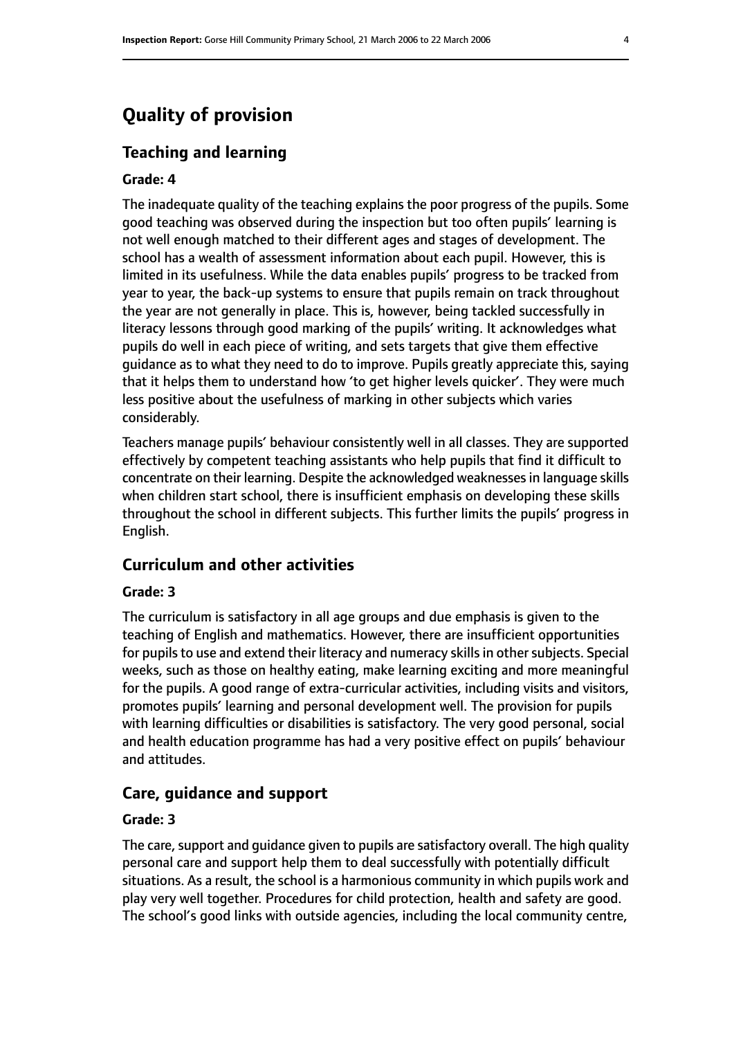# **Quality of provision**

#### **Teaching and learning**

#### **Grade: 4**

The inadequate quality of the teaching explains the poor progress of the pupils. Some good teaching was observed during the inspection but too often pupils' learning is not well enough matched to their different ages and stages of development. The school has a wealth of assessment information about each pupil. However, this is limited in its usefulness. While the data enables pupils' progress to be tracked from year to year, the back-up systems to ensure that pupils remain on track throughout the year are not generally in place. This is, however, being tackled successfully in literacy lessons through good marking of the pupils' writing. It acknowledges what pupils do well in each piece of writing, and sets targets that give them effective guidance as to what they need to do to improve. Pupils greatly appreciate this, saying that it helps them to understand how 'to get higher levels quicker'. They were much less positive about the usefulness of marking in other subjects which varies considerably.

Teachers manage pupils' behaviour consistently well in all classes. They are supported effectively by competent teaching assistants who help pupils that find it difficult to concentrate on their learning. Despite the acknowledged weaknessesin language skills when children start school, there is insufficient emphasis on developing these skills throughout the school in different subjects. This further limits the pupils' progress in English.

#### **Curriculum and other activities**

#### **Grade: 3**

The curriculum is satisfactory in all age groups and due emphasis is given to the teaching of English and mathematics. However, there are insufficient opportunities for pupils to use and extend their literacy and numeracy skills in other subjects. Special weeks, such as those on healthy eating, make learning exciting and more meaningful for the pupils. A good range of extra-curricular activities, including visits and visitors, promotes pupils' learning and personal development well. The provision for pupils with learning difficulties or disabilities is satisfactory. The very good personal, social and health education programme has had a very positive effect on pupils' behaviour and attitudes.

#### **Care, guidance and support**

#### **Grade: 3**

The care, support and quidance given to pupils are satisfactory overall. The high quality personal care and support help them to deal successfully with potentially difficult situations. As a result, the school is a harmonious community in which pupils work and play very well together. Procedures for child protection, health and safety are good. The school's good links with outside agencies, including the local community centre,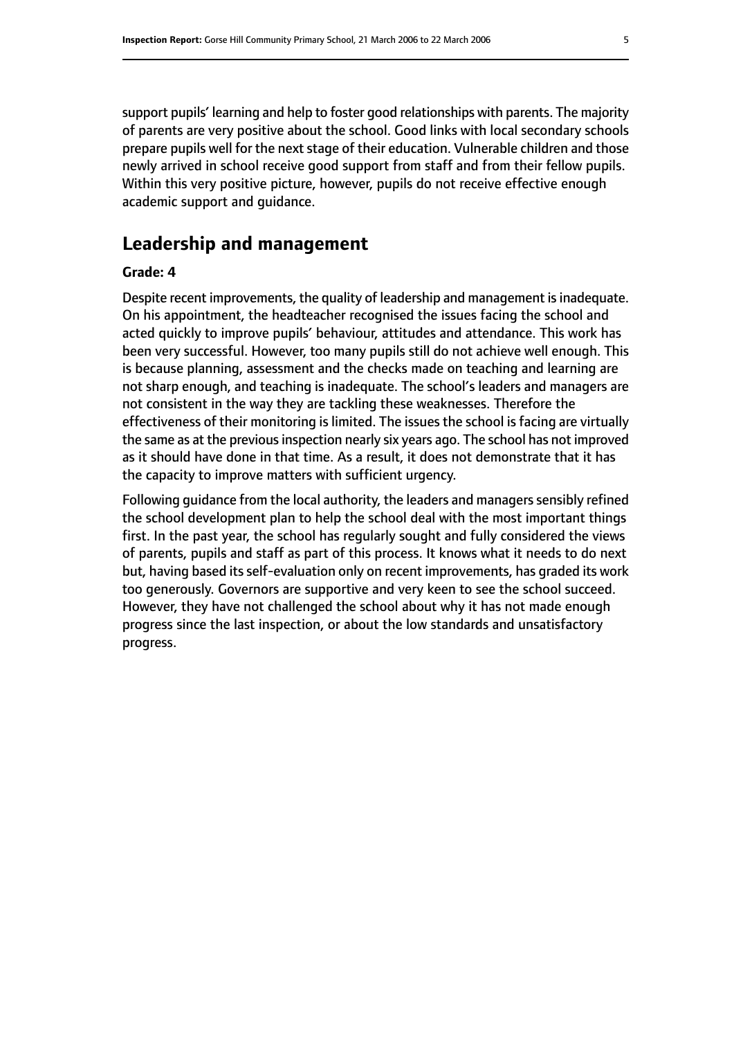support pupils' learning and help to foster good relationships with parents. The majority of parents are very positive about the school. Good links with local secondary schools prepare pupils well for the next stage of their education. Vulnerable children and those newly arrived in school receive good support from staff and from their fellow pupils. Within this very positive picture, however, pupils do not receive effective enough academic support and guidance.

# **Leadership and management**

#### **Grade: 4**

Despite recent improvements, the quality of leadership and management is inadequate. On his appointment, the headteacher recognised the issues facing the school and acted quickly to improve pupils' behaviour, attitudes and attendance. This work has been very successful. However, too many pupils still do not achieve well enough. This is because planning, assessment and the checks made on teaching and learning are not sharp enough, and teaching is inadequate. The school's leaders and managers are not consistent in the way they are tackling these weaknesses. Therefore the effectiveness of their monitoring is limited. The issues the school is facing are virtually the same as at the previous inspection nearly six years ago. The school has not improved as it should have done in that time. As a result, it does not demonstrate that it has the capacity to improve matters with sufficient urgency.

Following guidance from the local authority, the leaders and managers sensibly refined the school development plan to help the school deal with the most important things first. In the past year, the school has regularly sought and fully considered the views of parents, pupils and staff as part of this process. It knows what it needs to do next but, having based its self-evaluation only on recent improvements, has graded its work too generously. Governors are supportive and very keen to see the school succeed. However, they have not challenged the school about why it has not made enough progress since the last inspection, or about the low standards and unsatisfactory progress.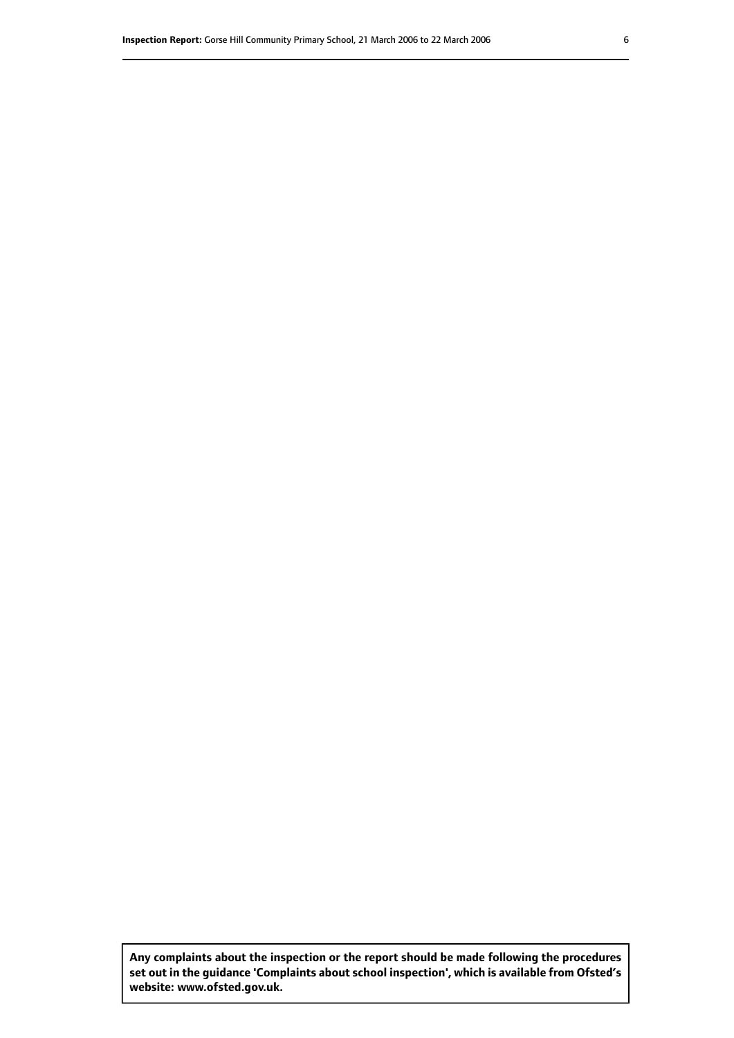**Any complaints about the inspection or the report should be made following the procedures set out inthe guidance 'Complaints about school inspection', whichis available from Ofsted's website: www.ofsted.gov.uk.**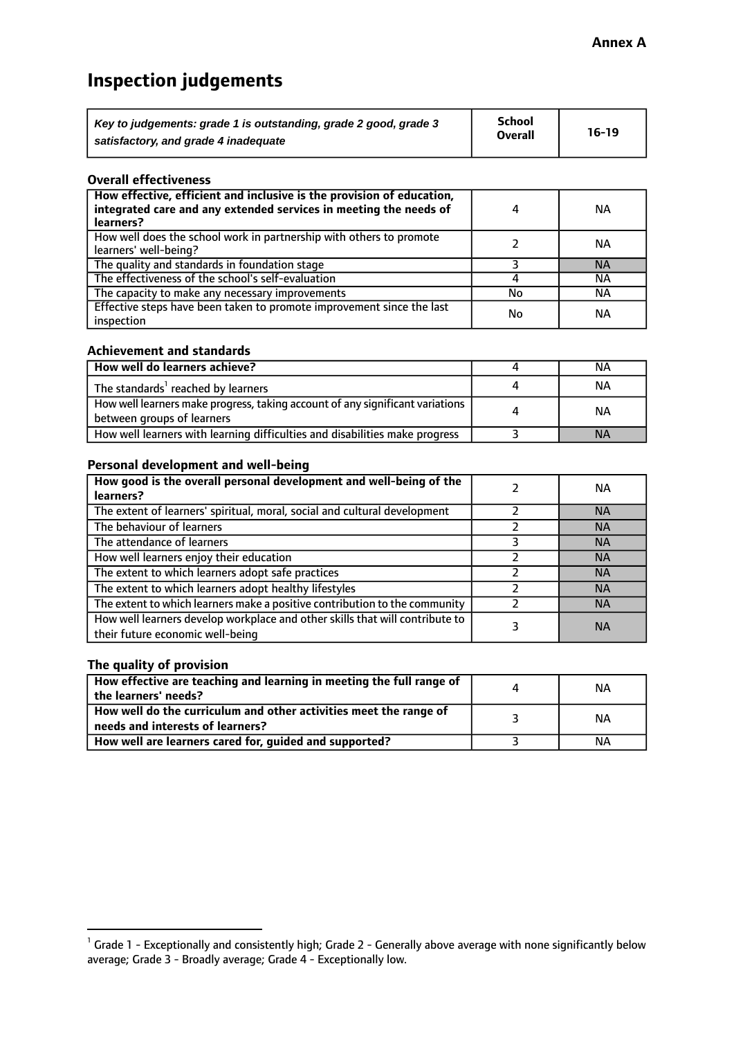# **Inspection judgements**

| Key to judgements: grade 1 is outstanding, grade 2 good, grade 3 | <b>School</b>  | $16-19$ |
|------------------------------------------------------------------|----------------|---------|
| satisfactory, and grade 4 inadequate                             | <b>Overall</b> |         |

#### **Overall effectiveness**

| How effective, efficient and inclusive is the provision of education,<br>integrated care and any extended services in meeting the needs of<br>learners? |    | <b>NA</b> |
|---------------------------------------------------------------------------------------------------------------------------------------------------------|----|-----------|
| How well does the school work in partnership with others to promote<br>learners' well-being?                                                            |    | NА        |
| The quality and standards in foundation stage                                                                                                           |    | <b>NA</b> |
| The effectiveness of the school's self-evaluation                                                                                                       |    | ΝA        |
| The capacity to make any necessary improvements                                                                                                         | No | NА        |
| Effective steps have been taken to promote improvement since the last<br>inspection                                                                     | No | <b>NA</b> |

#### **Achievement and standards**

| How well do learners achieve?                                                                               | NА        |
|-------------------------------------------------------------------------------------------------------------|-----------|
| The standards <sup>1</sup> reached by learners                                                              | NА        |
| How well learners make progress, taking account of any significant variations<br>between groups of learners | <b>NA</b> |
| How well learners with learning difficulties and disabilities make progress                                 | <b>NA</b> |

#### **Personal development and well-being**

| How good is the overall personal development and well-being of the<br>learners?                                  | ΝA        |
|------------------------------------------------------------------------------------------------------------------|-----------|
| The extent of learners' spiritual, moral, social and cultural development                                        | <b>NA</b> |
| The behaviour of learners                                                                                        | <b>NA</b> |
| The attendance of learners                                                                                       | <b>NA</b> |
| How well learners enjoy their education                                                                          | <b>NA</b> |
| The extent to which learners adopt safe practices                                                                | <b>NA</b> |
| The extent to which learners adopt healthy lifestyles                                                            | <b>NA</b> |
| The extent to which learners make a positive contribution to the community                                       | <b>NA</b> |
| How well learners develop workplace and other skills that will contribute to<br>their future economic well-being | <b>NA</b> |

#### **The quality of provision**

| How effective are teaching and learning in meeting the full range of<br>the learners' needs?          | ΝA |
|-------------------------------------------------------------------------------------------------------|----|
| How well do the curriculum and other activities meet the range of<br>needs and interests of learners? | ΝA |
| How well are learners cared for, guided and supported?                                                | NА |

 $^1$  Grade 1 - Exceptionally and consistently high; Grade 2 - Generally above average with none significantly below average; Grade 3 - Broadly average; Grade 4 - Exceptionally low.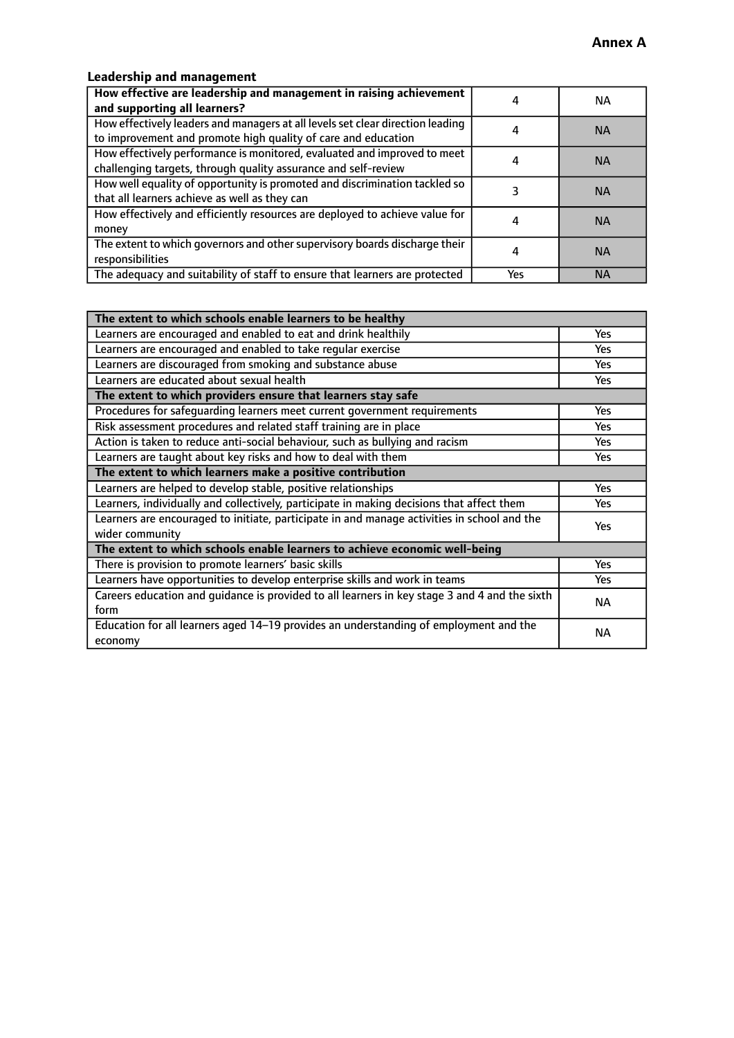### **Leadership and management**

| How effective are leadership and management in raising achievement<br>and supporting all learners?                                              |     | NA.       |
|-------------------------------------------------------------------------------------------------------------------------------------------------|-----|-----------|
| How effectively leaders and managers at all levels set clear direction leading<br>to improvement and promote high quality of care and education |     | <b>NA</b> |
| How effectively performance is monitored, evaluated and improved to meet<br>challenging targets, through quality assurance and self-review      |     | <b>NA</b> |
| How well equality of opportunity is promoted and discrimination tackled so<br>that all learners achieve as well as they can                     |     | <b>NA</b> |
| How effectively and efficiently resources are deployed to achieve value for<br>money                                                            |     | <b>NA</b> |
| The extent to which governors and other supervisory boards discharge their<br>responsibilities                                                  |     | <b>NA</b> |
| The adequacy and suitability of staff to ensure that learners are protected                                                                     | Yes | <b>NA</b> |

| The extent to which schools enable learners to be healthy                                     |            |  |
|-----------------------------------------------------------------------------------------------|------------|--|
| Learners are encouraged and enabled to eat and drink healthily                                | Yes        |  |
| Learners are encouraged and enabled to take regular exercise                                  | Yes        |  |
| Learners are discouraged from smoking and substance abuse                                     | <b>Yes</b> |  |
| Learners are educated about sexual health                                                     | <b>Yes</b> |  |
| The extent to which providers ensure that learners stay safe                                  |            |  |
| Procedures for safequarding learners meet current government requirements                     | Yes        |  |
| Risk assessment procedures and related staff training are in place                            | Yes        |  |
| Action is taken to reduce anti-social behaviour, such as bullying and racism                  | Yes        |  |
| Learners are taught about key risks and how to deal with them                                 | <b>Yes</b> |  |
| The extent to which learners make a positive contribution                                     |            |  |
| Learners are helped to develop stable, positive relationships                                 | Yes        |  |
| Learners, individually and collectively, participate in making decisions that affect them     | Yes        |  |
| Learners are encouraged to initiate, participate in and manage activities in school and the   | <b>Yes</b> |  |
| wider community                                                                               |            |  |
| The extent to which schools enable learners to achieve economic well-being                    |            |  |
| There is provision to promote learners' basic skills                                          | Yes        |  |
| Learners have opportunities to develop enterprise skills and work in teams                    | <b>Yes</b> |  |
| Careers education and guidance is provided to all learners in key stage 3 and 4 and the sixth | <b>NA</b>  |  |
| form                                                                                          |            |  |
| Education for all learners aged 14-19 provides an understanding of employment and the         | NА         |  |
| economy                                                                                       |            |  |